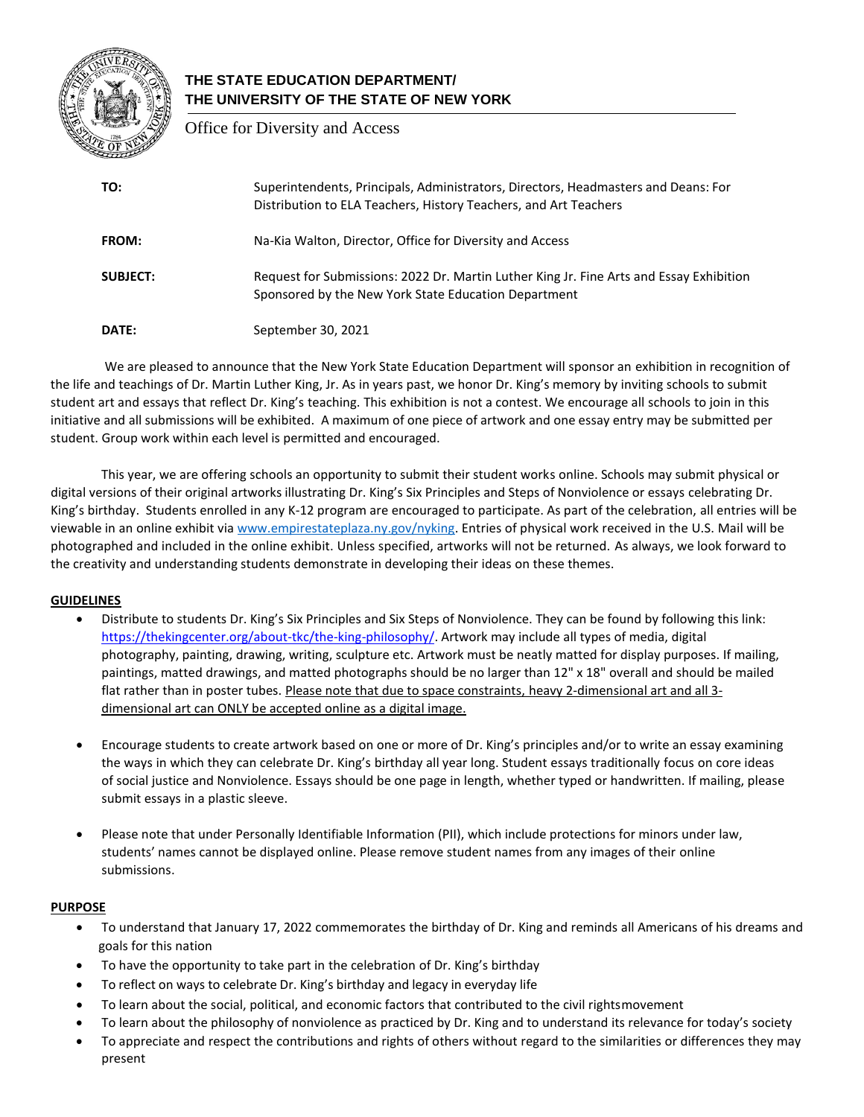

# **THE STATE EDUCATION DEPARTMENT/ THE UNIVERSITY OF THE STATE OF NEW YORK**

Office for Diversity and Access

| TO:             | Superintendents, Principals, Administrators, Directors, Headmasters and Deans: For<br>Distribution to ELA Teachers, History Teachers, and Art Teachers |
|-----------------|--------------------------------------------------------------------------------------------------------------------------------------------------------|
| <b>FROM:</b>    | Na-Kia Walton, Director, Office for Diversity and Access                                                                                               |
| <b>SUBJECT:</b> | Request for Submissions: 2022 Dr. Martin Luther King Jr. Fine Arts and Essay Exhibition<br>Sponsored by the New York State Education Department        |
| DATE:           | September 30, 2021                                                                                                                                     |

We are pleased to announce that the New York State Education Department will sponsor an exhibition in recognition of the life and teachings of Dr. Martin Luther King, Jr. As in years past, we honor Dr. King's memory by inviting schools to submit student art and essays that reflect Dr. King's teaching. This exhibition is not a contest. We encourage all schools to join in this initiative and all submissions will be exhibited. A maximum of one piece of artwork and one essay entry may be submitted per student. Group work within each level is permitted and encouraged.

This year, we are offering schools an opportunity to submit their student works online. Schools may submit physical or digital versions of their original artworks illustrating Dr. King's Six Principles and Steps of Nonviolence or essays celebrating Dr. King's birthday. Students enrolled in any K-12 program are encouraged to participate. As part of the celebration, all entries will be viewable in an online exhibit via [www.empirestateplaza.ny.gov/nyking.](http://www.empirestateplaza.ny.gov/nyking) Entries of physical work received in the U.S. Mail will be photographed and included in the online exhibit. Unless specified, artworks will not be returned. As always, we look forward to the creativity and understanding students demonstrate in developing their ideas on these themes.

#### **GUIDELINES**

- Distribute to students Dr. King's Six Principles and Six Steps of Nonviolence. They can be found by following this link: <https://thekingcenter.org/about-tkc/the-king-philosophy/>[. A](http://www.thekingcenter.org/king-philosophy#sub2)rtwork may include all types of media, digital photography, painting, drawing, writing, sculpture etc. Artwork must be neatly matted for display purposes. If mailing, paintings, matted drawings, and matted photographs should be no larger than 12" x 18" overall and should be mailed flat rather than in poster tubes. Please note that due to space constraints, heavy 2-dimensional art and all 3 dimensional art can ONLY be accepted online as a digital image.
- Encourage students to create artwork based on one or more of Dr. King's principles and/or to write an essay examining the ways in which they can celebrate Dr. King's birthday all year long. Student essays traditionally focus on core ideas of social justice and Nonviolence. Essays should be one page in length, whether typed or handwritten. If mailing, please submit essays in a plastic sleeve.
- Please note that under Personally Identifiable Information (PII), which include protections for minors under law, students' names cannot be displayed online. Please remove student names from any images of their online submissions.

#### **PURPOSE**

- To understand that January 17, 2022 commemorates the birthday of Dr. King and reminds all Americans of his dreams and goals for this nation
- To have the opportunity to take part in the celebration of Dr. King's birthday
- To reflect on ways to celebrate Dr. King's birthday and legacy in everyday life
- To learn about the social, political, and economic factors that contributed to the civil rightsmovement
- To learn about the philosophy of nonviolence as practiced by Dr. King and to understand its relevance for today's society
- To appreciate and respect the contributions and rights of others without regard to the similarities or differences they may present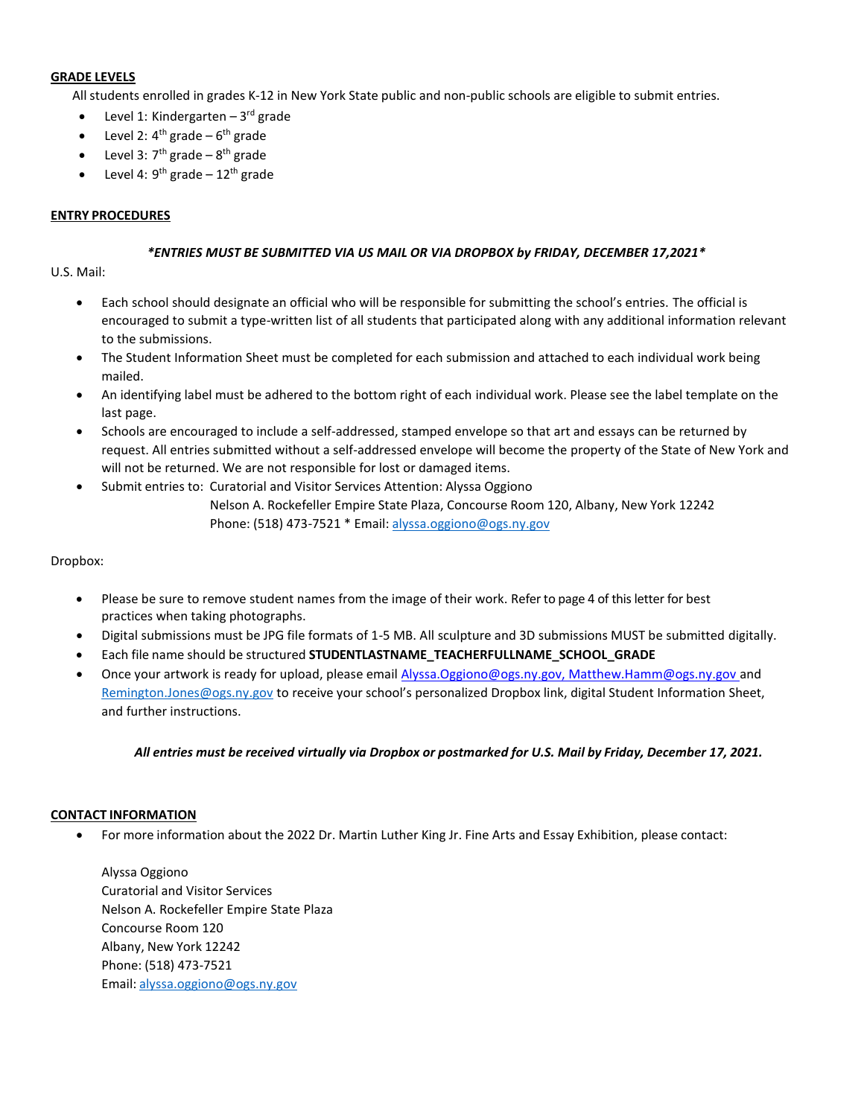#### **GRADE LEVELS**

All students enrolled in grades K-12 in New York State public and non-public schools are eligible to submit entries.

- Level 1: Kindergarten 3rd grade
- Level 2:  $4^{\text{th}}$  grade  $6^{\text{th}}$  grade
- Level 3:  $7<sup>th</sup>$  grade  $8<sup>th</sup>$  grade
- Level 4:  $9<sup>th</sup>$  grade 12<sup>th</sup> grade

#### **ENTRY PROCEDURES**

#### *\*ENTRIES MUST BE SUBMITTED VIA US MAIL OR VIA DROPBOX by FRIDAY, DECEMBER 17,2021\**

#### U.S. Mail:

- Each school should designate an official who will be responsible for submitting the school's entries. The official is encouraged to submit a type-written list of all students that participated along with any additional information relevant to the submissions.
- The Student Information Sheet must be completed for each submission and attached to each individual work being mailed.
- An identifying label must be adhered to the bottom right of each individual work. Please see the label template on the last page.
- Schools are encouraged to include a self-addressed, stamped envelope so that art and essays can be returned by request. All entries submitted without a self-addressed envelope will become the property of the State of New York and will not be returned. We are not responsible for lost or damaged items.
- Submit entries to: Curatorial and Visitor Services Attention: Alyssa Oggiono

Nelson A. Rockefeller Empire State Plaza, Concourse Room 120, Albany, New York 12242 Phone: (518) 473-7521 \* Email: [alyssa.oggiono@ogs.ny.gov](mailto:alyssa.oggiono@ogs.ny.gov)

#### Dropbox:

- Please be sure to remove student names from the image of their work. Refer to page 4 of this letter for best practices when taking photographs.
- Digital submissions must be JPG file formats of 1-5 MB. All sculpture and 3D submissions MUST be submitted digitally.
- Each file name should be structured **STUDENTLASTNAME\_TEACHERFULLNAME\_SCHOOL\_GRADE**
- Once your artwork is ready for upload, please email [Alyssa.Oggiono@ogs.ny.gov, Matthew.Hamm@ogs.ny.gov a](mailto:Alyssa.Oggiono@ogs.ny.gov;%20Matthew.Hamm@ogs.ny.gov;%20remington.jones@ogs.ny.gov)nd [Remington.Jones@ogs.ny.gov](mailto:Remington.Jones@ogs.ny.gov;%20matthew.hamm@ogs.ny.gov;%20alyssa.oggiono@ogs.ny.gov) to receive your school's personalized Dropbox link, digital Student Information Sheet, and further instructions.

*All entries must be received virtually via Dropbox or postmarked for U.S. Mail by Friday, December 17, 2021.*

#### **CONTACT INFORMATION**

• For more information about the 2022 Dr. Martin Luther King Jr. Fine Arts and Essay Exhibition, please contact:

Alyssa Oggiono Curatorial and Visitor Services Nelson A. Rockefeller Empire State Plaza Concourse Room 120 Albany, New York 12242 Phone: (518) 473-7521 Email: [alyssa.oggiono@ogs.ny.gov](mailto:alyssa.oggiono@ogs.ny.gov)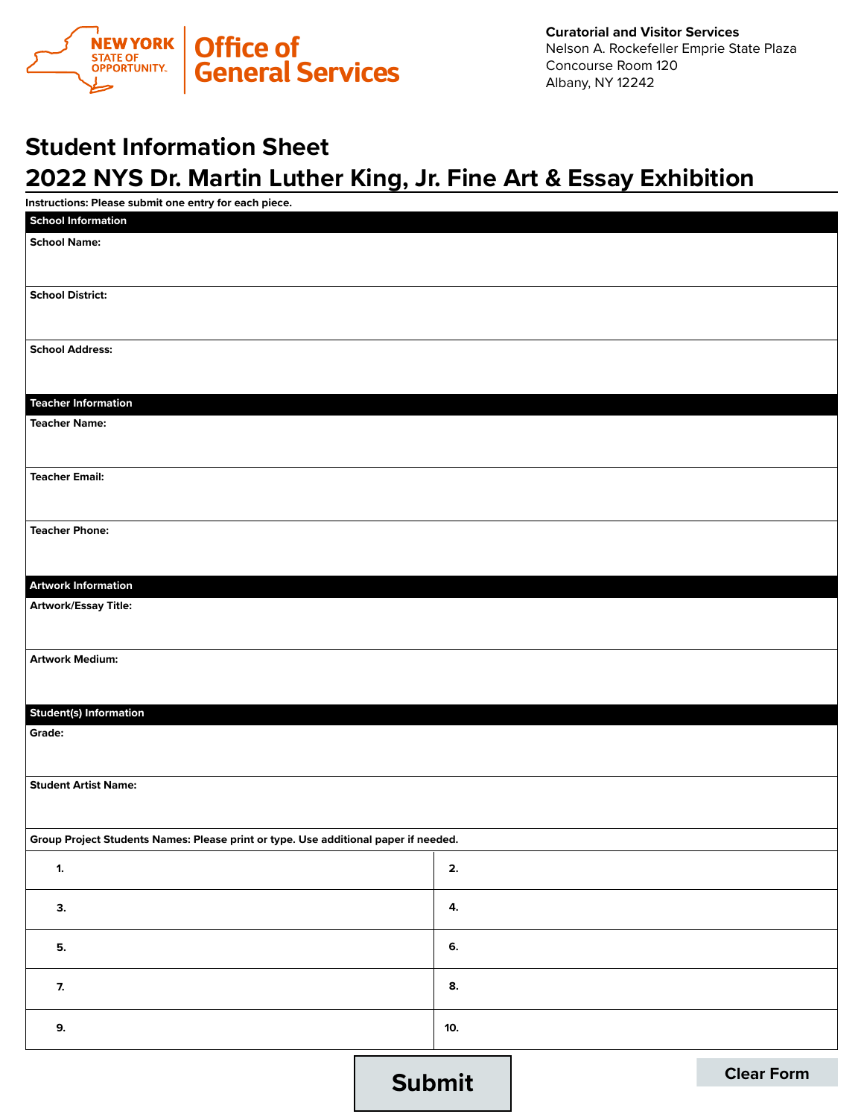

# **Student Information Sheet 2022 NYS Dr. Martin Luther King, Jr. Fine Art & Essay Exhibition**

| Instructions: Please submit one entry for each piece.                               |               |  |                   |  |
|-------------------------------------------------------------------------------------|---------------|--|-------------------|--|
| <b>School Information</b>                                                           |               |  |                   |  |
| <b>School Name:</b>                                                                 |               |  |                   |  |
|                                                                                     |               |  |                   |  |
|                                                                                     |               |  |                   |  |
| <b>School District:</b>                                                             |               |  |                   |  |
|                                                                                     |               |  |                   |  |
| <b>School Address:</b>                                                              |               |  |                   |  |
|                                                                                     |               |  |                   |  |
|                                                                                     |               |  |                   |  |
| <b>Teacher Information</b>                                                          |               |  |                   |  |
| <b>Teacher Name:</b>                                                                |               |  |                   |  |
|                                                                                     |               |  |                   |  |
|                                                                                     |               |  |                   |  |
| <b>Teacher Email:</b>                                                               |               |  |                   |  |
|                                                                                     |               |  |                   |  |
|                                                                                     |               |  |                   |  |
| <b>Teacher Phone:</b>                                                               |               |  |                   |  |
|                                                                                     |               |  |                   |  |
|                                                                                     |               |  |                   |  |
| <b>Artwork Information</b>                                                          |               |  |                   |  |
| <b>Artwork/Essay Title:</b>                                                         |               |  |                   |  |
|                                                                                     |               |  |                   |  |
| <b>Artwork Medium:</b>                                                              |               |  |                   |  |
|                                                                                     |               |  |                   |  |
|                                                                                     |               |  |                   |  |
| <b>Student(s) Information</b>                                                       |               |  |                   |  |
| Grade:                                                                              |               |  |                   |  |
|                                                                                     |               |  |                   |  |
|                                                                                     |               |  |                   |  |
| <b>Student Artist Name:</b>                                                         |               |  |                   |  |
|                                                                                     |               |  |                   |  |
|                                                                                     |               |  |                   |  |
| Group Project Students Names: Please print or type. Use additional paper if needed. |               |  |                   |  |
| $\mathbf{1}$ .                                                                      |               |  |                   |  |
|                                                                                     |               |  |                   |  |
| 3.                                                                                  | 4.            |  |                   |  |
|                                                                                     |               |  |                   |  |
| 5.                                                                                  | 6.            |  |                   |  |
|                                                                                     |               |  |                   |  |
| 7.                                                                                  | 8.            |  |                   |  |
|                                                                                     |               |  |                   |  |
| 9.                                                                                  | 10.           |  |                   |  |
|                                                                                     |               |  |                   |  |
|                                                                                     |               |  |                   |  |
|                                                                                     | <b>Submit</b> |  | <b>Clear Form</b> |  |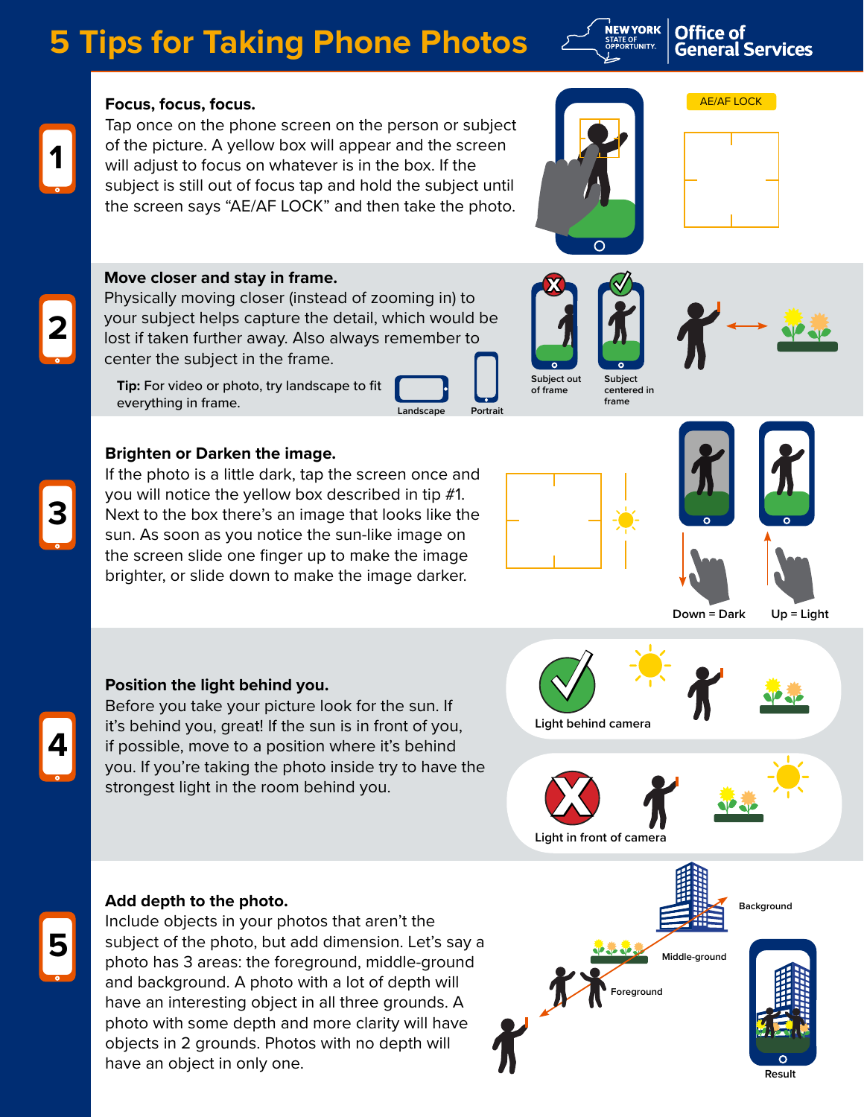# **5 Tips for Taking Phone Photos**



# **Office of General Services**

AE/AF LOCK

# **Focus, focus, focus.**

Tap once on the phone screen on the person or subject of the picture. A yellow box will appear and the screen will adjust to focus on whatever is in the box. If the subject is still out of focus tap and hold the subject until the screen says "AE/AF LOCK" and then take the photo.

# **Move closer and stay in frame.**

Physically moving closer (instead of zooming in) to your subject helps capture the detail, which would be lost if taken further away. Also always remember to center the subject in the frame.

**Tip:** For video or photo, try landscape to fit everything in frame. **Landscape** Portrait

# **Brighten or Darken the image.**

If the photo is a little dark, tap the screen once and you will notice the yellow box described in tip #1. Next to the box there's an image that looks like the sun. As soon as you notice the sun-like image on the screen slide one finger up to make the image brighter, or slide down to make the image darker.



**x ✓**

 $\bigcirc$ 

**Subject centered in frame**

**Subject out of frame**



**Down = Dark Up = Light**

### **Position the light behind you.**

Before you take your picture look for the sun. If it's behind you, great! If the sun is in front of you, if possible, move to a position where it's behind you. If you're taking the photo inside try to have the strongest light in the room behind you.

**✓ Light behind camera**

**x**





Include objects in your photos that aren't the subject of the photo, but add dimension. Let's say a photo has 3 areas: the foreground, middle-ground and background. A photo with a lot of depth will have an interesting object in all three grounds. A photo with some depth and more clarity will have objects in 2 grounds. Photos with no depth will have an object in only one.





**3**

**4**

**5**